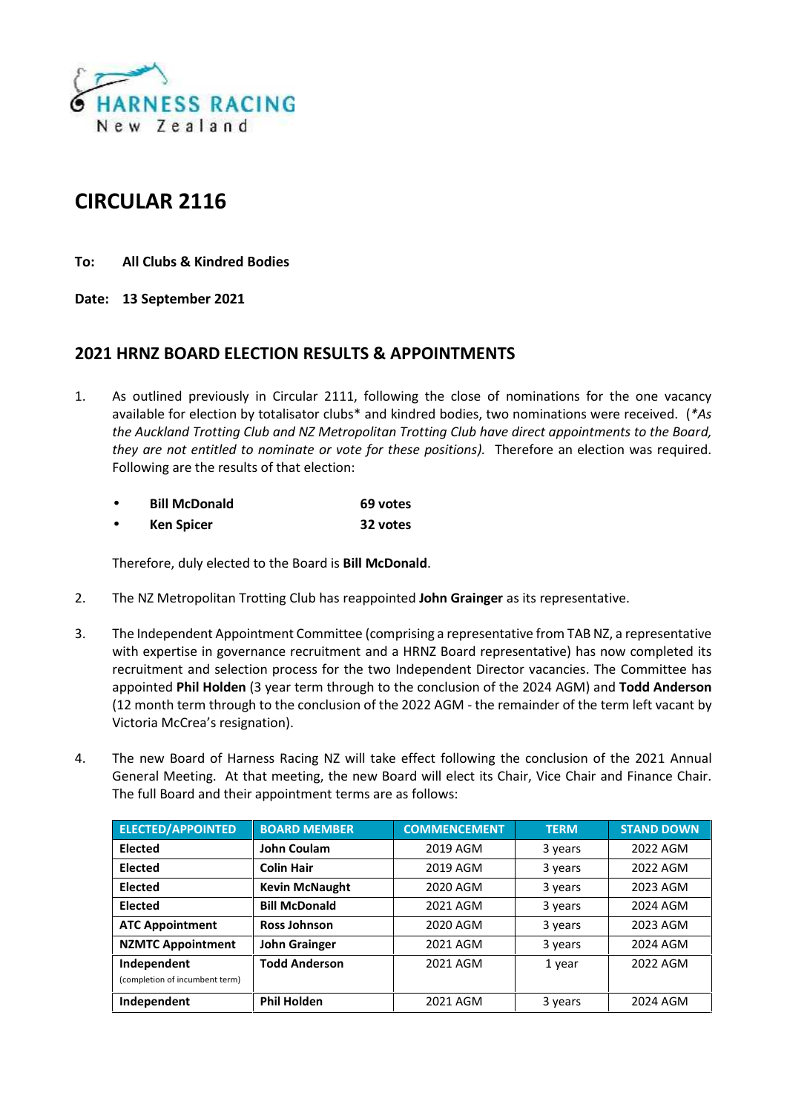

## **CIRCULAR 2116**

- **To: All Clubs & Kindred Bodies**
- **Date: 13 September 2021**

## **2021 HRNZ BOARD ELECTION RESULTS & APPOINTMENTS**

1. As outlined previously in Circular 2111, following the close of nominations for the one vacancy available for election by totalisator clubs\* and kindred bodies, two nominations were received. (*\*As the Auckland Trotting Club and NZ Metropolitan Trotting Club have direct appointments to the Board, they are not entitled to nominate or vote for these positions).* Therefore an election was required. Following are the results of that election:

| <b>Bill McDonald</b> | 69 votes |
|----------------------|----------|
| <b>Ken Spicer</b>    | 32 votes |

Therefore, duly elected to the Board is **Bill McDonald**.

- 2. The NZ Metropolitan Trotting Club has reappointed **John Grainger** as its representative.
- 3. The Independent Appointment Committee (comprising a representative from TAB NZ, a representative with expertise in governance recruitment and a HRNZ Board representative) has now completed its recruitment and selection process for the two Independent Director vacancies. The Committee has appointed **Phil Holden** (3 year term through to the conclusion of the 2024 AGM) and **Todd Anderson** (12 month term through to the conclusion of the 2022 AGM - the remainder of the term left vacant by Victoria McCrea's resignation).
- 4. The new Board of Harness Racing NZ will take effect following the conclusion of the 2021 Annual General Meeting. At that meeting, the new Board will elect its Chair, Vice Chair and Finance Chair. The full Board and their appointment terms are as follows:

| <b>ELECTED/APPOINTED</b>                      | <b>BOARD MEMBER</b>   | <b>COMMENCEMENT</b> | <b>TERM</b> | <b>STAND DOWN</b> |
|-----------------------------------------------|-----------------------|---------------------|-------------|-------------------|
| <b>Elected</b>                                | <b>John Coulam</b>    | 2019 AGM            | 3 years     | 2022 AGM          |
| <b>Elected</b>                                | <b>Colin Hair</b>     | 2019 AGM            | 3 years     | 2022 AGM          |
| <b>Elected</b>                                | <b>Kevin McNaught</b> | 2020 AGM            | 3 years     | 2023 AGM          |
| <b>Elected</b>                                | <b>Bill McDonald</b>  | 2021 AGM            | 3 years     | 2024 AGM          |
| <b>ATC Appointment</b>                        | <b>Ross Johnson</b>   | 2020 AGM            | 3 years     | 2023 AGM          |
| <b>NZMTC Appointment</b>                      | <b>John Grainger</b>  | 2021 AGM            | 3 years     | 2024 AGM          |
| Independent<br>(completion of incumbent term) | <b>Todd Anderson</b>  | 2021 AGM            | 1 year      | 2022 AGM          |
| Independent                                   | <b>Phil Holden</b>    | 2021 AGM            | 3 years     | 2024 AGM          |